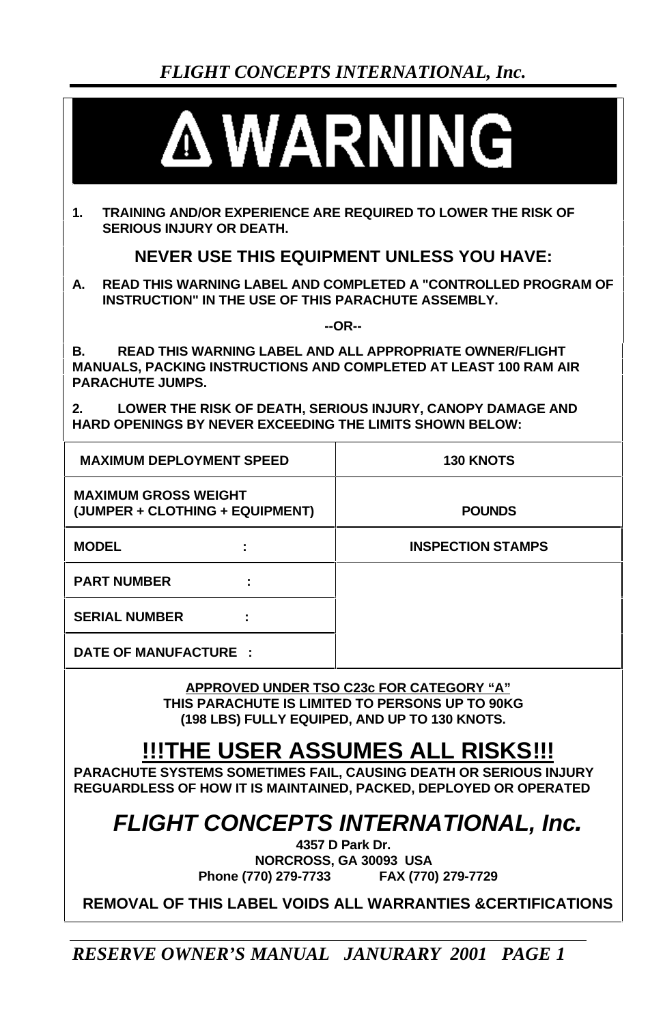

**1. TRAINING AND/OR EXPERIENCE ARE REQUIRED TO LOWER THE RISK OF SERIOUS INJURY OR DEATH.**

**NEVER USE THIS EQUIPMENT UNLESS YOU HAVE:**

**A. READ THIS WARNING LABEL AND COMPLETED A "CONTROLLED PROGRAM OF INSTRUCTION" IN THE USE OF THIS PARACHUTE ASSEMBLY.**

**--OR--**

**B. READ THIS WARNING LABEL AND ALL APPROPRIATE OWNER/FLIGHT MANUALS, PACKING INSTRUCTIONS AND COMPLETED AT LEAST 100 RAM AIR PARACHUTE JUMPS.**

**2. LOWER THE RISK OF DEATH, SERIOUS INJURY, CANOPY DAMAGE AND HARD OPENINGS BY NEVER EXCEEDING THE LIMITS SHOWN BELOW:**

| <b>MAXIMUM DEPLOYMENT SPEED</b>                                |  | <b>130 KNOTS</b>         |  |
|----------------------------------------------------------------|--|--------------------------|--|
| <b>MAXIMUM GROSS WEIGHT</b><br>(JUMPER + CLOTHING + EQUIPMENT) |  | <b>POUNDS</b>            |  |
| <b>MODEL</b>                                                   |  | <b>INSPECTION STAMPS</b> |  |
| <b>PART NUMBER</b>                                             |  |                          |  |
| <b>SERIAL NUMBER</b>                                           |  |                          |  |
| DATE OF MANUFACTURE :                                          |  |                          |  |

**APPROVED UNDER TSO C23c FOR CATEGORY "A" THIS PARACHUTE IS LIMITED TO PERSONS UP TO 90KG (198 LBS) FULLY EQUIPED, AND UP TO 130 KNOTS.**

# **!!!THE USER ASSUMES ALL RISKS!!!**

**PARACHUTE SYSTEMS SOMETIMES FAIL, CAUSING DEATH OR SERIOUS INJURY REGUARDLESS OF HOW IT IS MAINTAINED, PACKED, DEPLOYED OR OPERATED**

*FLIGHT CONCEPTS INTERNATIONAL, Inc.*

**4357 D Park Dr. NORCROSS, GA 30093 USA Phone (770) 279-7733 FAX (770) 279-7729**

**REMOVAL OF THIS LABEL VOIDS ALL WARRANTIES &CERTIFICATIONS**

*RESERVE OWNER'S MANUAL JANURARY 2001 PAGE 1*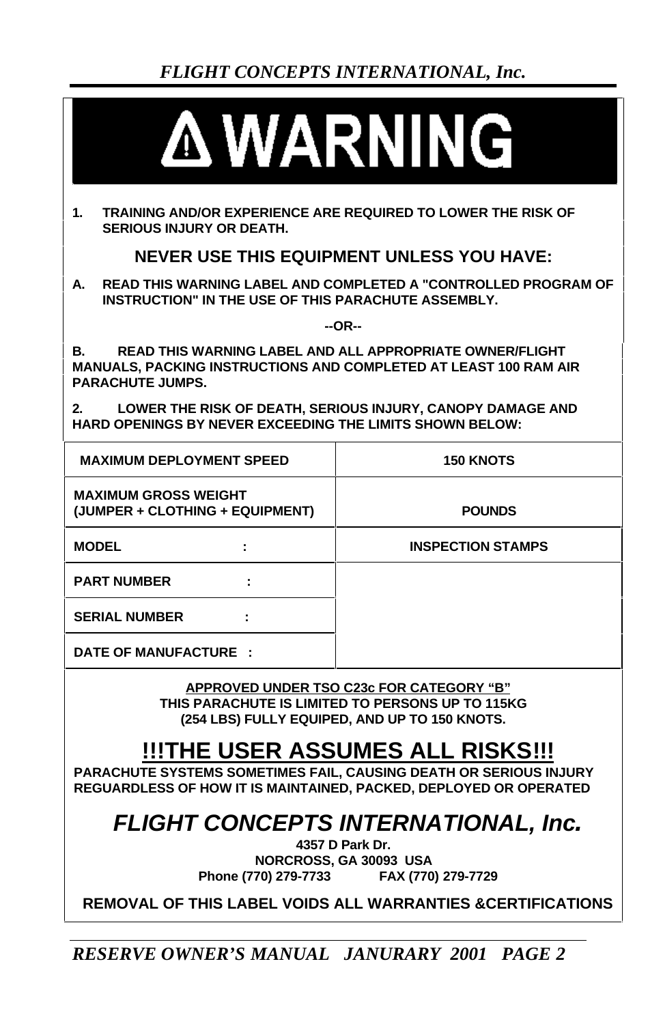

**1. TRAINING AND/OR EXPERIENCE ARE REQUIRED TO LOWER THE RISK OF SERIOUS INJURY OR DEATH.**

**NEVER USE THIS EQUIPMENT UNLESS YOU HAVE:**

**A. READ THIS WARNING LABEL AND COMPLETED A "CONTROLLED PROGRAM OF INSTRUCTION" IN THE USE OF THIS PARACHUTE ASSEMBLY.**

**--OR--**

**B. READ THIS WARNING LABEL AND ALL APPROPRIATE OWNER/FLIGHT MANUALS, PACKING INSTRUCTIONS AND COMPLETED AT LEAST 100 RAM AIR PARACHUTE JUMPS.**

**2. LOWER THE RISK OF DEATH, SERIOUS INJURY, CANOPY DAMAGE AND HARD OPENINGS BY NEVER EXCEEDING THE LIMITS SHOWN BELOW:**

| <b>MAXIMUM DEPLOYMENT SPEED</b>                                |  | <b>150 KNOTS</b>         |  |
|----------------------------------------------------------------|--|--------------------------|--|
| <b>MAXIMUM GROSS WEIGHT</b><br>(JUMPER + CLOTHING + EQUIPMENT) |  | <b>POUNDS</b>            |  |
| <b>MODEL</b>                                                   |  | <b>INSPECTION STAMPS</b> |  |
| <b>PART NUMBER</b>                                             |  |                          |  |
| <b>SERIAL NUMBER</b>                                           |  |                          |  |
| DATE OF MANUFACTURE :                                          |  |                          |  |

**APPROVED UNDER TSO C23c FOR CATEGORY "B" THIS PARACHUTE IS LIMITED TO PERSONS UP TO 115KG (254 LBS) FULLY EQUIPED, AND UP TO 150 KNOTS.**

# **!!!THE USER ASSUMES ALL RISKS!!!**

**PARACHUTE SYSTEMS SOMETIMES FAIL, CAUSING DEATH OR SERIOUS INJURY REGUARDLESS OF HOW IT IS MAINTAINED, PACKED, DEPLOYED OR OPERATED**

*FLIGHT CONCEPTS INTERNATIONAL, Inc.*

**4357 D Park Dr. NORCROSS, GA 30093 USA Phone (770) 279-7733 FAX (770) 279-7729**

**REMOVAL OF THIS LABEL VOIDS ALL WARRANTIES &CERTIFICATIONS**

*RESERVE OWNER'S MANUAL JANURARY 2001 PAGE 2*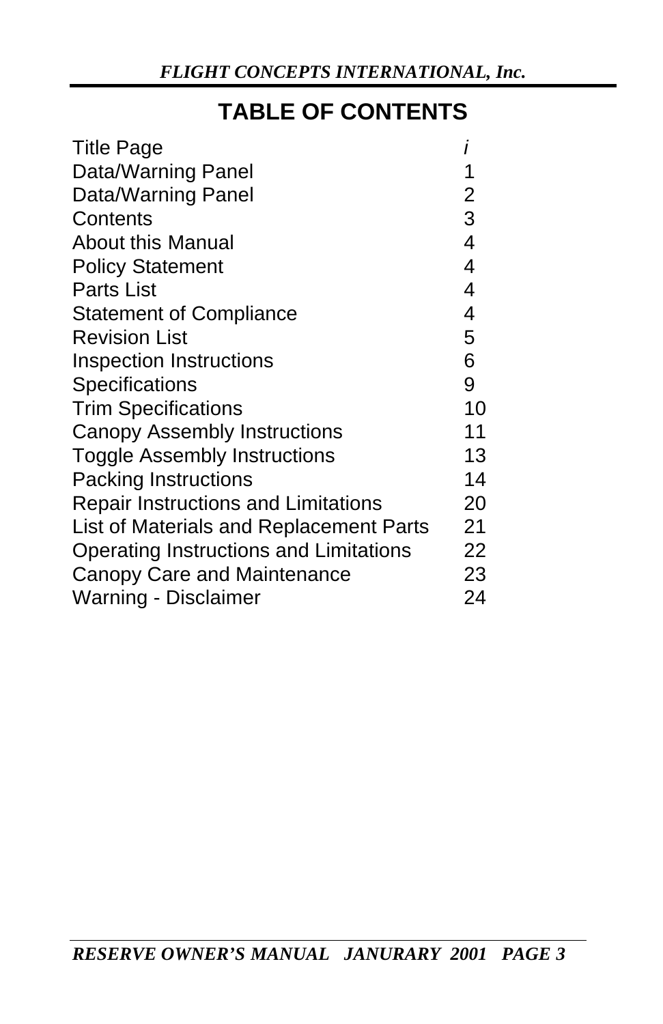# **TABLE OF CONTENTS**

| <b>Title Page</b>                          |                         |
|--------------------------------------------|-------------------------|
| Data/Warning Panel                         | 1                       |
| Data/Warning Panel                         | $\overline{2}$          |
| Contents                                   | 3                       |
| <b>About this Manual</b>                   | $\overline{\mathbf{4}}$ |
| <b>Policy Statement</b>                    | 4                       |
| <b>Parts List</b>                          | 4                       |
| <b>Statement of Compliance</b>             | 4                       |
| <b>Revision List</b>                       | 5                       |
| <b>Inspection Instructions</b>             | 6                       |
| <b>Specifications</b>                      | 9                       |
| <b>Trim Specifications</b>                 | 10                      |
| Canopy Assembly Instructions               | 11                      |
| Toggle Assembly Instructions               | 13                      |
| <b>Packing Instructions</b>                | 14                      |
| <b>Repair Instructions and Limitations</b> | 20                      |
| List of Materials and Replacement Parts    | 21                      |
| Operating Instructions and Limitations     | 22                      |
| Canopy Care and Maintenance                | 23                      |
| Warning - Disclaimer                       | 24                      |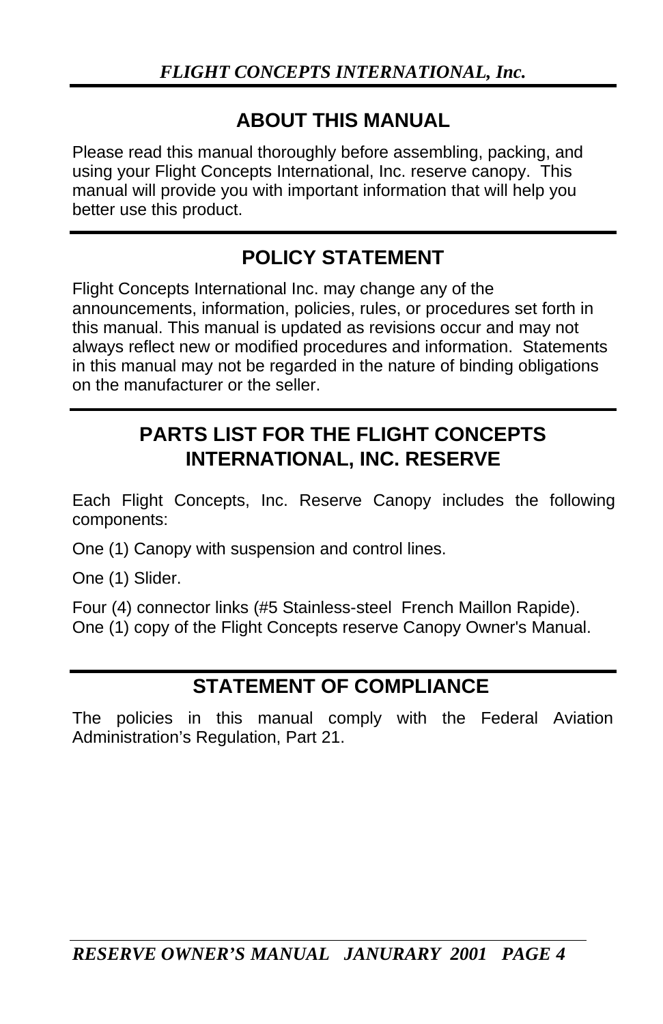### **ABOUT THIS MANUAL**

Please read this manual thoroughly before assembling, packing, and using your Flight Concepts International, Inc. reserve canopy. This manual will provide you with important information that will help you better use this product.

## **POLICY STATEMENT**

Flight Concepts International Inc. may change any of the announcements, information, policies, rules, or procedures set forth in this manual. This manual is updated as revisions occur and may not always reflect new or modified procedures and information. Statements in this manual may not be regarded in the nature of binding obligations on the manufacturer or the seller.

## **PARTS LIST FOR THE FLIGHT CONCEPTS INTERNATIONAL, INC. RESERVE**

Each Flight Concepts, Inc. Reserve Canopy includes the following components:

One (1) Canopy with suspension and control lines.

One (1) Slider.

Four (4) connector links (#5 Stainless-steel French Maillon Rapide). One (1) copy of the Flight Concepts reserve Canopy Owner's Manual.

### **STATEMENT OF COMPLIANCE**

The policies in this manual comply with the Federal Aviation Administration's Regulation, Part 21.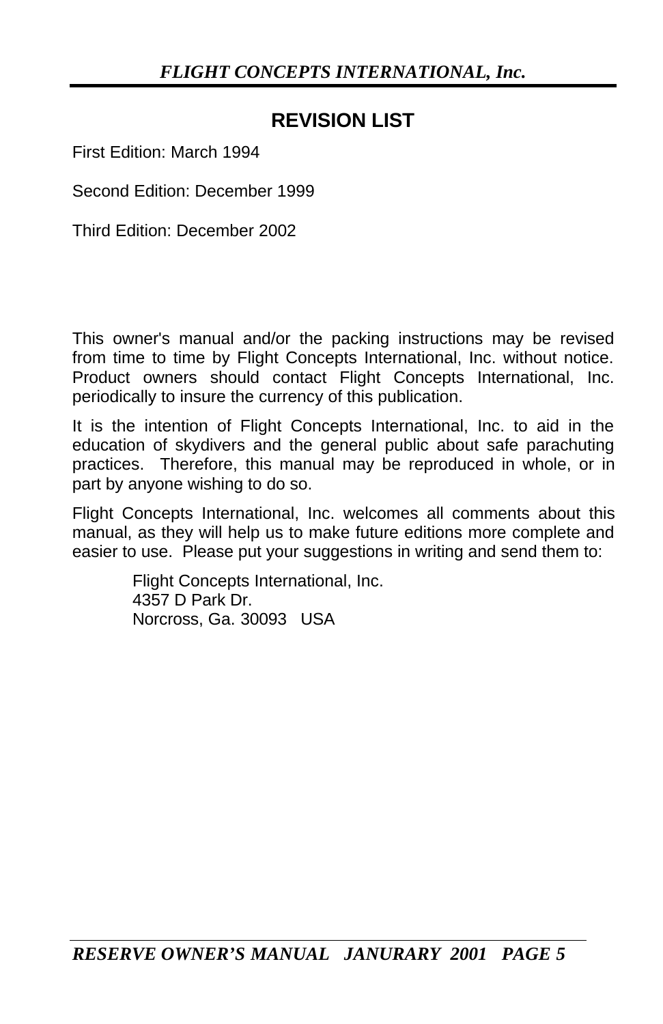## **REVISION LIST**

First Edition: March 1994

Second Edition: December 1999

Third Edition: December 2002

This owner's manual and/or the packing instructions may be revised from time to time by Flight Concepts International, Inc. without notice. Product owners should contact Flight Concepts International, Inc. periodically to insure the currency of this publication.

It is the intention of Flight Concepts International, Inc. to aid in the education of skydivers and the general public about safe parachuting practices. Therefore, this manual may be reproduced in whole, or in part by anyone wishing to do so.

Flight Concepts International, Inc. welcomes all comments about this manual, as they will help us to make future editions more complete and easier to use. Please put your suggestions in writing and send them to:

> Flight Concepts International, Inc. 4357 D Park Dr. Norcross, Ga. 30093 USA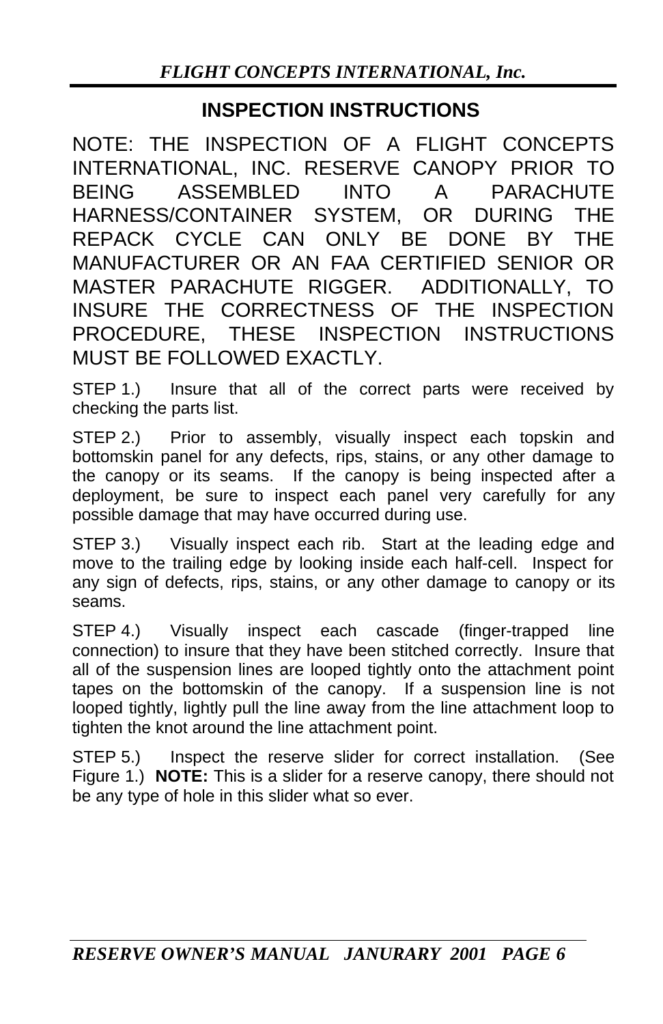### **INSPECTION INSTRUCTIONS**

NOTE: THE INSPECTION OF A FLIGHT CONCEPTS INTERNATIONAL, INC. RESERVE CANOPY PRIOR TO BEING ASSEMBLED INTO A PARACHUTE HARNESS/CONTAINER SYSTEM, OR DURING THE REPACK CYCLE CAN ONLY BE DONE BY THE MANUFACTURER OR AN FAA CERTIFIED SENIOR OR MASTER PARACHUTE RIGGER. ADDITIONALLY, TO INSURE THE CORRECTNESS OF THE INSPECTION PROCEDURE, THESE INSPECTION INSTRUCTIONS MUST BE FOLLOWED EXACTLY.

STEP 1.) Insure that all of the correct parts were received by checking the parts list.

STEP 2.) Prior to assembly, visually inspect each topskin and bottomskin panel for any defects, rips, stains, or any other damage to the canopy or its seams. If the canopy is being inspected after a deployment, be sure to inspect each panel very carefully for any possible damage that may have occurred during use.

STEP 3.) Visually inspect each rib. Start at the leading edge and move to the trailing edge by looking inside each half-cell. Inspect for any sign of defects, rips, stains, or any other damage to canopy or its seams.

STEP 4.) Visually inspect each cascade (finger-trapped line connection) to insure that they have been stitched correctly. Insure that all of the suspension lines are looped tightly onto the attachment point tapes on the bottomskin of the canopy. If a suspension line is not looped tightly, lightly pull the line away from the line attachment loop to tighten the knot around the line attachment point.

STEP 5.) Inspect the reserve slider for correct installation. (See Figure 1.) **NOTE:** This is a slider for a reserve canopy, there should not be any type of hole in this slider what so ever.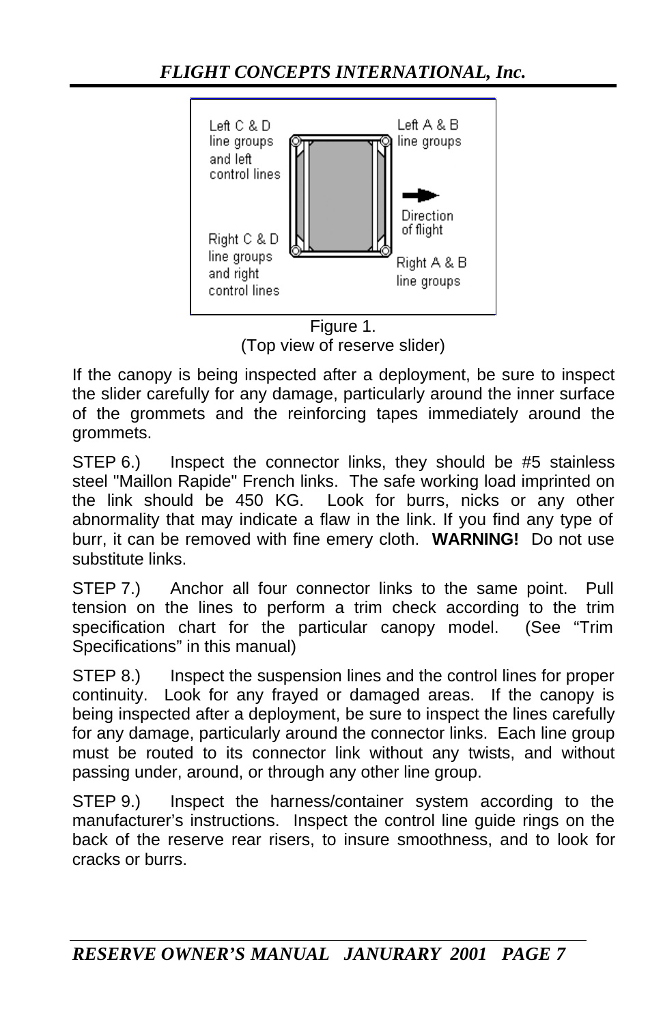

(Top view of reserve slider)

If the canopy is being inspected after a deployment, be sure to inspect the slider carefully for any damage, particularly around the inner surface of the grommets and the reinforcing tapes immediately around the grommets.

STEP 6.) Inspect the connector links, they should be #5 stainless steel "Maillon Rapide" French links. The safe working load imprinted on the link should be 450 KG. Look for burrs, nicks or any other abnormality that may indicate a flaw in the link. If you find any type of burr, it can be removed with fine emery cloth. **WARNING!** Do not use substitute links.

STEP 7.) Anchor all four connector links to the same point. Pull tension on the lines to perform a trim check according to the trim specification chart for the particular canopy model. (See "Trim Specifications" in this manual)

STEP 8.) Inspect the suspension lines and the control lines for proper continuity. Look for any frayed or damaged areas. If the canopy is being inspected after a deployment, be sure to inspect the lines carefully for any damage, particularly around the connector links. Each line group must be routed to its connector link without any twists, and without passing under, around, or through any other line group.

STEP 9.) Inspect the harness/container system according to the manufacturer's instructions. Inspect the control line guide rings on the back of the reserve rear risers, to insure smoothness, and to look for cracks or burrs.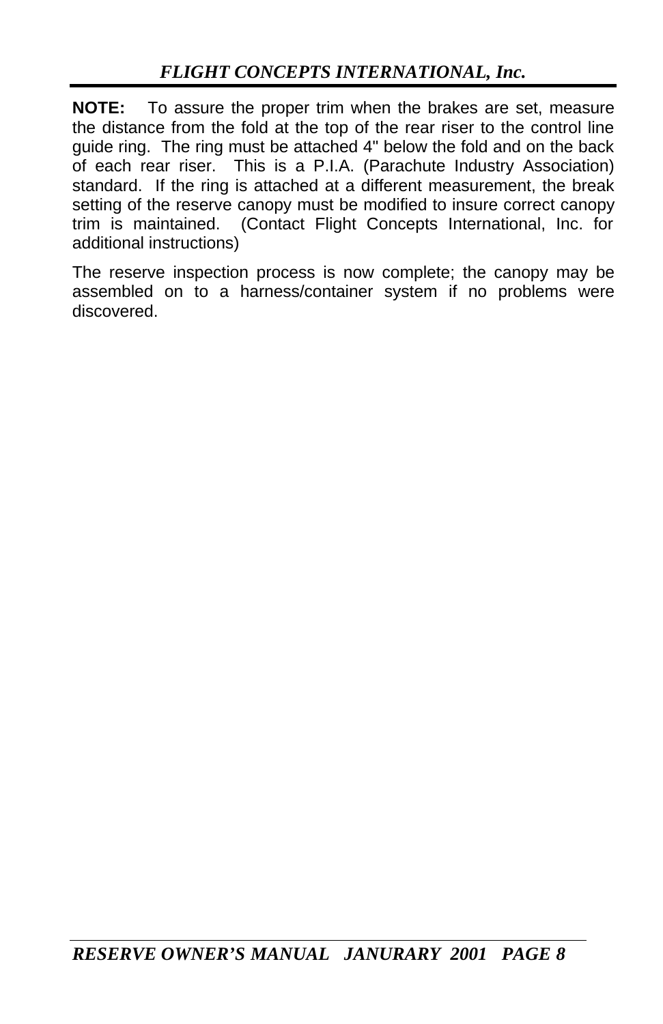**NOTE:** To assure the proper trim when the brakes are set, measure the distance from the fold at the top of the rear riser to the control line guide ring. The ring must be attached 4" below the fold and on the back of each rear riser. This is a P.I.A. (Parachute Industry Association) standard. If the ring is attached at a different measurement, the break setting of the reserve canopy must be modified to insure correct canopy trim is maintained. (Contact Flight Concepts International, Inc. for additional instructions)

The reserve inspection process is now complete; the canopy may be assembled on to a harness/container system if no problems were discovered.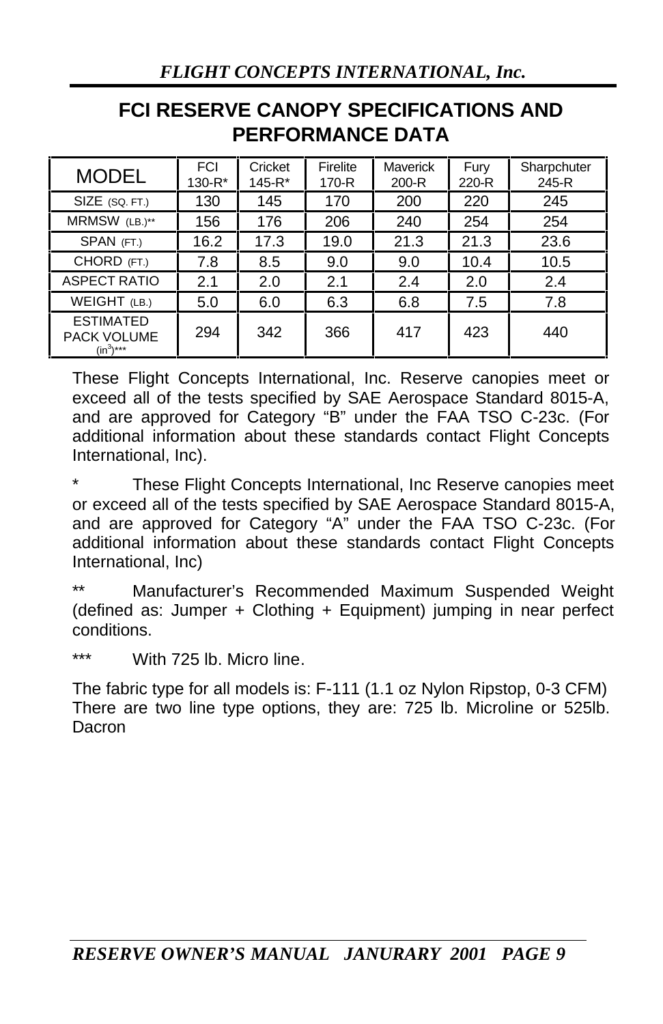## **FCI RESERVE CANOPY SPECIFICATIONS AND PERFORMANCE DATA**

| <b>MODEL</b>                                     | <b>FCI</b><br>130-R* | Cricket<br>145-R* | Firelite<br>$170-R$ | Maverick<br>$200-R$ | Fury<br>220-R | Sharpchuter<br>245-R |
|--------------------------------------------------|----------------------|-------------------|---------------------|---------------------|---------------|----------------------|
| SIZE (SQ. FT.)                                   | 130                  | 145               | 170                 | 200                 | 220           | 245                  |
| MRMSW (LB.)**                                    | 156                  | 176               | 206                 | 240                 | 254           | 254                  |
| SPAN (FT.)                                       | 16.2                 | 17.3              | 19.0                | 21.3                | 21.3          | 23.6                 |
| CHORD (FT.)                                      | 7.8                  | 8.5               | 9.0                 | 9.0                 | 10.4          | 10.5                 |
| <b>ASPECT RATIO</b>                              | 2.1                  | 2.0               | 2.1                 | 2.4                 | 2.0           | 2.4                  |
| WEIGHT (LB.)                                     | 5.0                  | 6.0               | 6.3                 | 6.8                 | 7.5           | 7.8                  |
| <b>ESTIMATED</b><br>PACK VOLUME<br>$(in^{3})***$ | 294                  | 342               | 366                 | 417                 | 423           | 440                  |

These Flight Concepts International, Inc. Reserve canopies meet or exceed all of the tests specified by SAE Aerospace Standard 8015-A, and are approved for Category "B" under the FAA TSO C-23c. (For additional information about these standards contact Flight Concepts International, Inc).

These Flight Concepts International, Inc Reserve canopies meet or exceed all of the tests specified by SAE Aerospace Standard 8015-A, and are approved for Category "A" under the FAA TSO C-23c. (For additional information about these standards contact Flight Concepts International, Inc)

Manufacturer's Recommended Maximum Suspended Weight (defined as: Jumper + Clothing + Equipment) jumping in near perfect conditions.

\*\*\* With 725 lb. Micro line.

The fabric type for all models is: F-111 (1.1 oz Nylon Ripstop, 0-3 CFM) There are two line type options, they are: 725 lb. Microline or 525lb. Dacron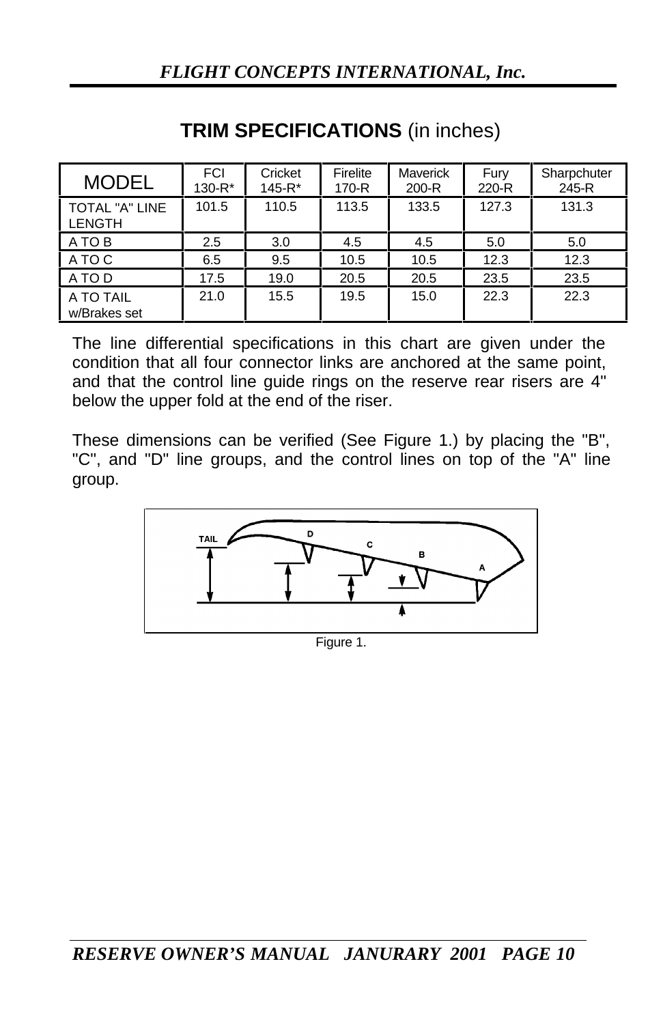| <b>MODEL</b>              | <b>FCI</b><br>$130 - R^*$ | Cricket<br>$145 - R*$ | Firelite<br>170-R | <b>Maverick</b><br>200-R | Fury<br>220-R | Sharpchuter<br>245-R |
|---------------------------|---------------------------|-----------------------|-------------------|--------------------------|---------------|----------------------|
| TOTAL "A" LINE<br>LENGTH  | 101.5                     | 110.5                 | 113.5             | 133.5                    | 127.3         | 131.3                |
| A TO B                    | 2.5                       | 3.0                   | 4.5               | 4.5                      | 5.0           | 5.0                  |
| A TO C                    | 6.5                       | 9.5                   | 10.5              | 10.5                     | 12.3          | 12.3                 |
| A TO D                    | 17.5                      | 19.0                  | 20.5              | 20.5                     | 23.5          | 23.5                 |
| A TO TAIL<br>w/Brakes set | 21.0                      | 15.5                  | 19.5              | 15.0                     | 22.3          | 22.3                 |

## **TRIM SPECIFICATIONS** (in inches)

The line differential specifications in this chart are given under the condition that all four connector links are anchored at the same point, and that the control line guide rings on the reserve rear risers are 4" below the upper fold at the end of the riser.

These dimensions can be verified (See Figure 1.) by placing the "B", "C", and "D" line groups, and the control lines on top of the "A" line group.



Figure 1.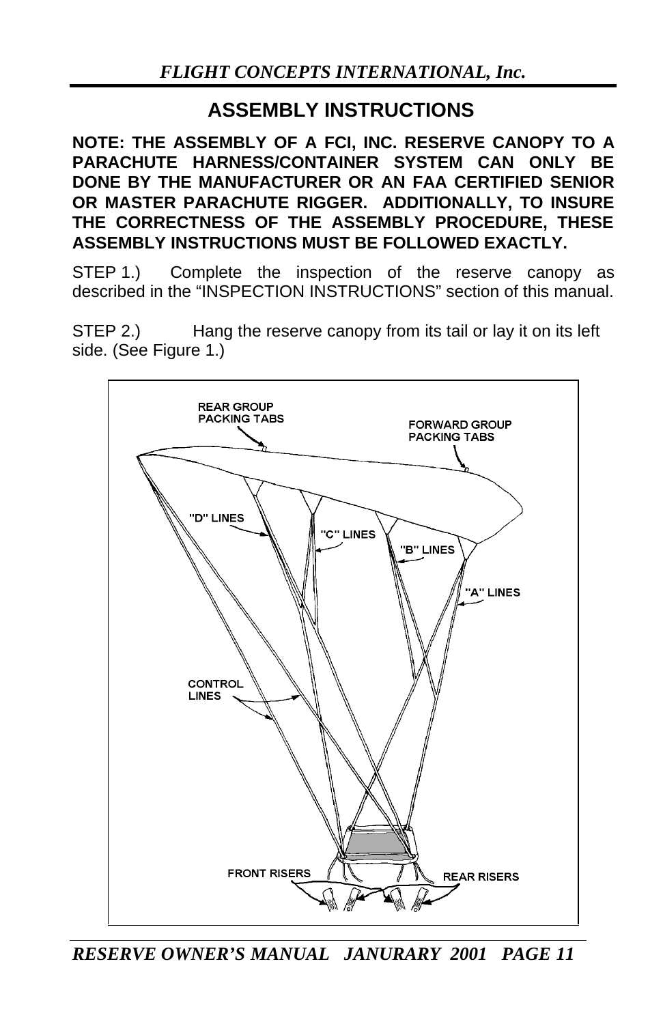## **ASSEMBLY INSTRUCTIONS**

**NOTE: THE ASSEMBLY OF A FCI, INC. RESERVE CANOPY TO A PARACHUTE HARNESS/CONTAINER SYSTEM CAN ONLY BE DONE BY THE MANUFACTURER OR AN FAA CERTIFIED SENIOR OR MASTER PARACHUTE RIGGER. ADDITIONALLY, TO INSURE THE CORRECTNESS OF THE ASSEMBLY PROCEDURE, THESE ASSEMBLY INSTRUCTIONS MUST BE FOLLOWED EXACTLY.**

STEP 1.) Complete the inspection of the reserve canopy as described in the "INSPECTION INSTRUCTIONS" section of this manual.

STEP 2.) Hang the reserve canopy from its tail or lay it on its left side. (See Figure 1.)



*RESERVE OWNER'S MANUAL JANURARY 2001 PAGE 11*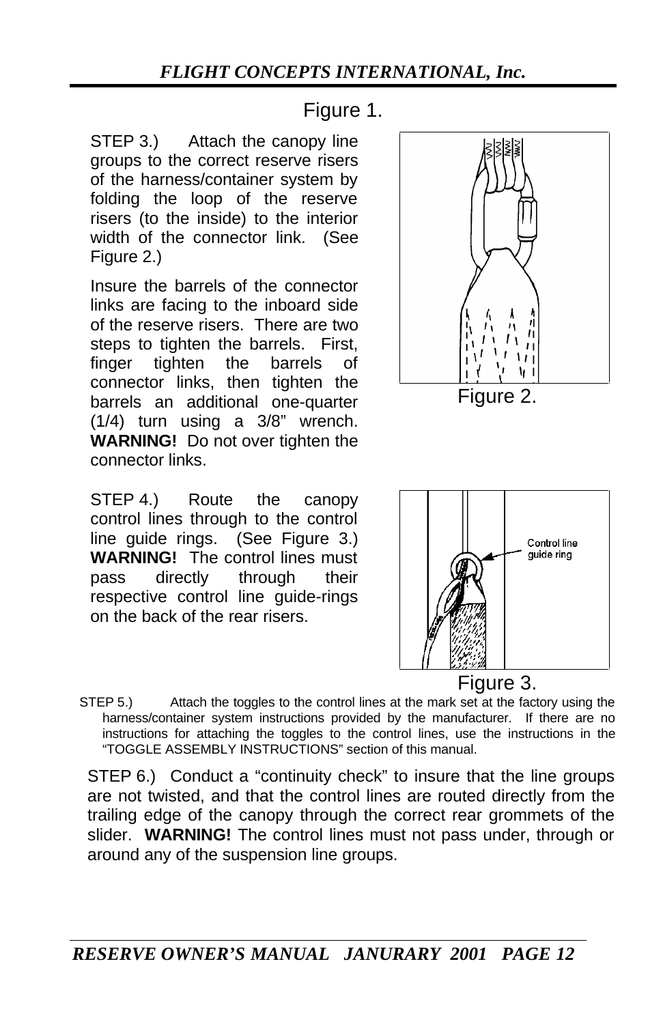Figure 1.

STEP 3.) Attach the canopy line groups to the correct reserve risers of the harness/container system by folding the loop of the reserve risers (to the inside) to the interior width of the connector link. (See Figure 2.)

Insure the barrels of the connector links are facing to the inboard side of the reserve risers. There are two steps to tighten the barrels. First. finger tighten the barrels of connector links, then tighten the barrels an additional one-quarter (1/4) turn using a 3/8" wrench. **WARNING!** Do not over tighten the connector links.

STEP 4.) Route the canopy control lines through to the control line guide rings. (See Figure 3.) **WARNING!** The control lines must pass directly through their respective control line guide-rings on the back of the rear risers.





STEP 5.) Attach the toggles to the control lines at the mark set at the factory using the harness/container system instructions provided by the manufacturer. If there are no instructions for attaching the toggles to the control lines, use the instructions in the "TOGGLE ASSEMBLY INSTRUCTIONS" section of this manual.

STEP 6.) Conduct a "continuity check" to insure that the line groups are not twisted, and that the control lines are routed directly from the trailing edge of the canopy through the correct rear grommets of the slider. **WARNING!** The control lines must not pass under, through or around any of the suspension line groups.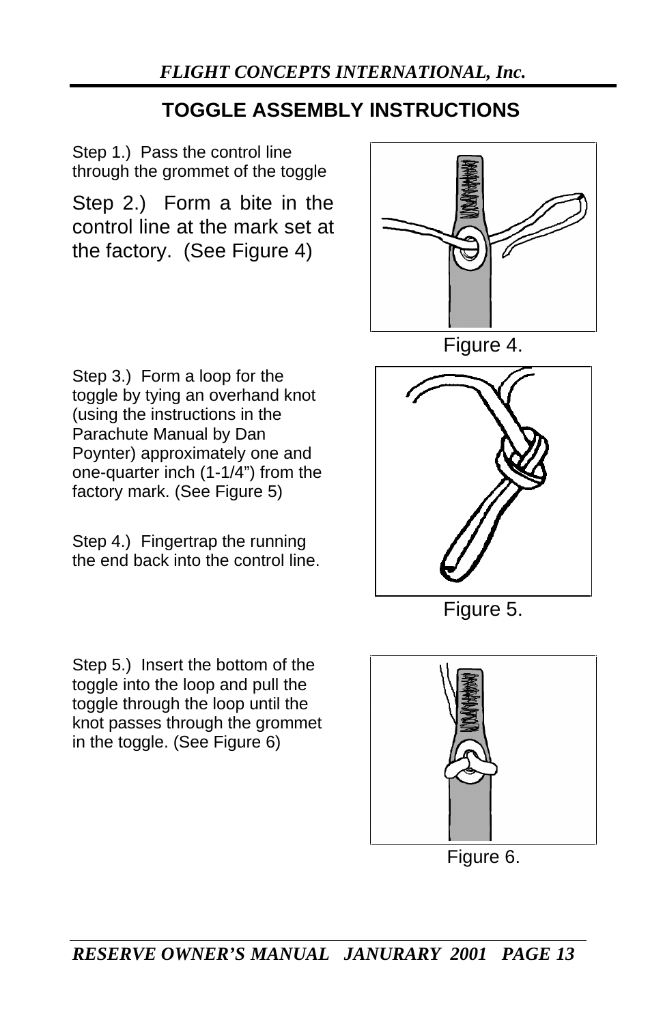## **TOGGLE ASSEMBLY INSTRUCTIONS**

Step 1.) Pass the control line through the grommet of the toggle

Step 2.) Form a bite in the control line at the mark set at the factory. (See Figure 4)



Figure 4.

Step 3.) Form a loop for the toggle by tying an overhand knot (using the instructions in the Parachute Manual by Dan Poynter) approximately one and one-quarter inch (1-1/4") from the factory mark. (See Figure 5)

Step 4.) Fingertrap the running the end back into the control line.

Step 5.) Insert the bottom of the toggle into the loop and pull the toggle through the loop until the knot passes through the grommet in the toggle. (See Figure 6)



Figure 5.



Figure 6.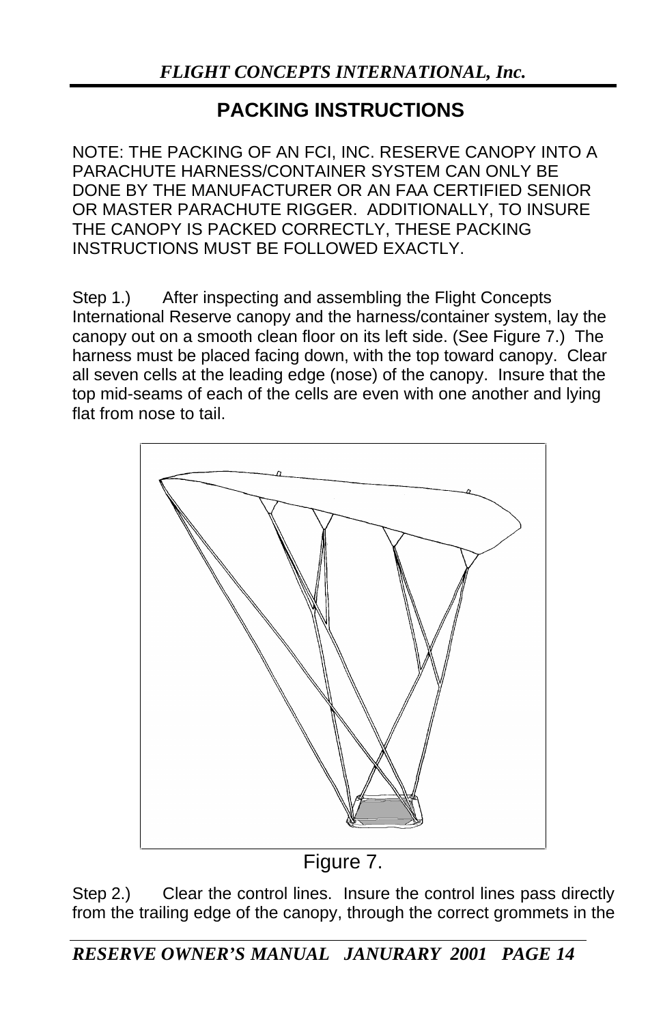## **PACKING INSTRUCTIONS**

NOTE: THE PACKING OF AN FCI, INC. RESERVE CANOPY INTO A PARACHUTE HARNESS/CONTAINER SYSTEM CAN ONLY BE DONE BY THE MANUFACTURER OR AN FAA CERTIFIED SENIOR OR MASTER PARACHUTE RIGGER. ADDITIONALLY, TO INSURE THE CANOPY IS PACKED CORRECTLY, THESE PACKING INSTRUCTIONS MUST BE FOLLOWED EXACTLY.

Step 1.) After inspecting and assembling the Flight Concepts International Reserve canopy and the harness/container system, lay the canopy out on a smooth clean floor on its left side. (See Figure 7.) The harness must be placed facing down, with the top toward canopy. Clear all seven cells at the leading edge (nose) of the canopy. Insure that the top mid-seams of each of the cells are even with one another and lying flat from nose to tail.



Figure 7.

Step 2.) Clear the control lines. Insure the control lines pass directly from the trailing edge of the canopy, through the correct grommets in the

*RESERVE OWNER'S MANUAL JANURARY 2001 PAGE 14*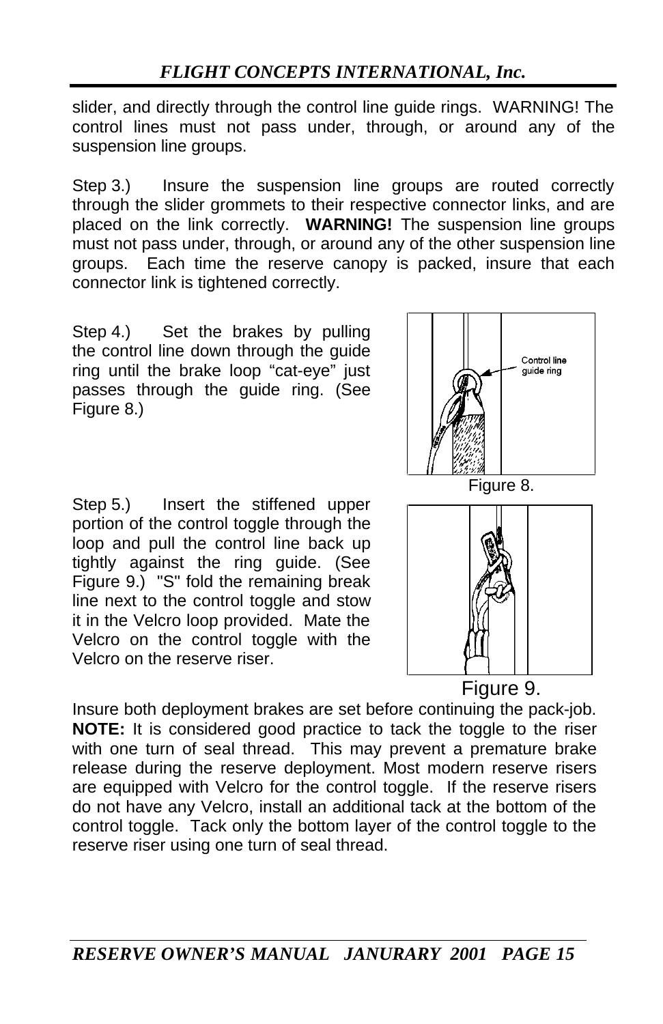slider, and directly through the control line guide rings. WARNING! The control lines must not pass under, through, or around any of the suspension line groups.

Step 3.) Insure the suspension line groups are routed correctly through the slider grommets to their respective connector links, and are placed on the link correctly. **WARNING!** The suspension line groups must not pass under, through, or around any of the other suspension line groups. Each time the reserve canopy is packed, insure that each connector link is tightened correctly.

Step 4.) Set the brakes by pulling the control line down through the guide ring until the brake loop "cat-eye" just passes through the guide ring. (See Figure 8.)

Step 5.) Insert the stiffened upper portion of the control toggle through the loop and pull the control line back up tightly against the ring guide. (See Figure 9.) "S" fold the remaining break line next to the control toggle and stow it in the Velcro loop provided. Mate the Velcro on the control toggle with the Velcro on the reserve riser.



Figure 9.

Insure both deployment brakes are set before continuing the pack-job. **NOTE:** It is considered good practice to tack the toggle to the riser with one turn of seal thread. This may prevent a premature brake release during the reserve deployment. Most modern reserve risers are equipped with Velcro for the control toggle. If the reserve risers do not have any Velcro, install an additional tack at the bottom of the control toggle. Tack only the bottom layer of the control toggle to the reserve riser using one turn of seal thread.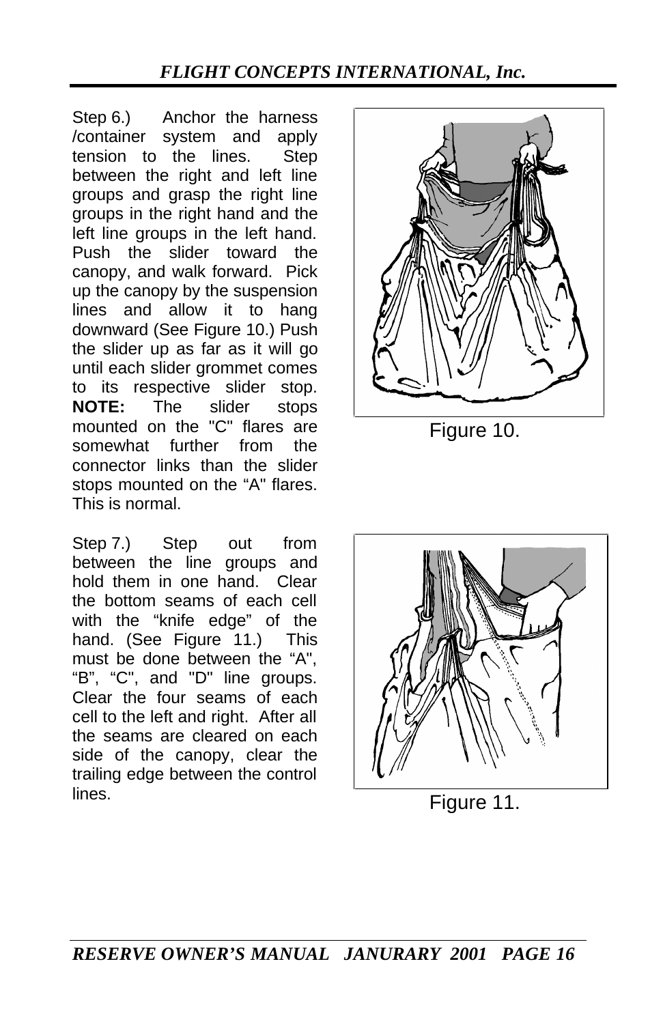Step 6.) Anchor the harness /container system and apply tension to the lines. Step between the right and left line groups and grasp the right line groups in the right hand and the left line groups in the left hand. Push the slider toward the canopy, and walk forward. Pick up the canopy by the suspension lines and allow it to hang downward (See Figure 10.) Push the slider up as far as it will go until each slider grommet comes to its respective slider stop. **NOTE:** The slider stops mounted on the "C" flares are somewhat further from the connector links than the slider stops mounted on the "A" flares. This is normal.

Step 7.) Step out from between the line groups and hold them in one hand. Clear the bottom seams of each cell with the "knife edge" of the hand. (See Figure 11.) This must be done between the "A", "B", "C", and "D" line groups. Clear the four seams of each cell to the left and right. After all the seams are cleared on each side of the canopy, clear the trailing edge between the control lines. Figure 11.



Figure 10.

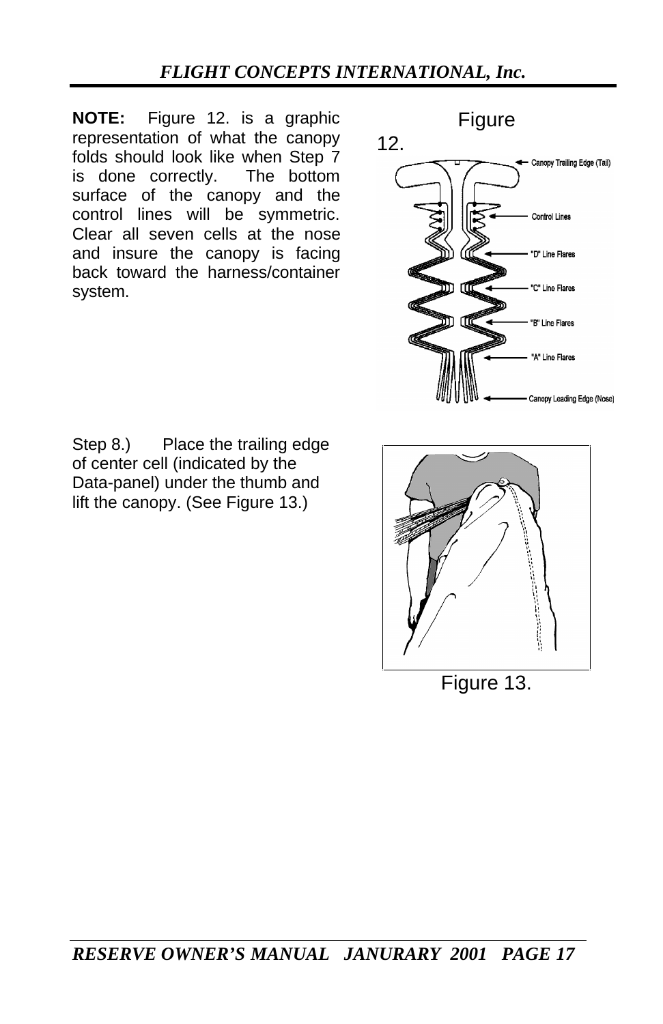**NOTE:** Figure 12. is a graphic representation of what the canopy folds should look like when Step 7 is done correctly. The bottom surface of the canopy and the control lines will be symmetric. Clear all seven cells at the nose and insure the canopy is facing back toward the harness/container system.



Step 8.) Place the trailing edge of center cell (indicated by the Data-panel) under the thumb and lift the canopy. (See Figure 13.)



Figure 13.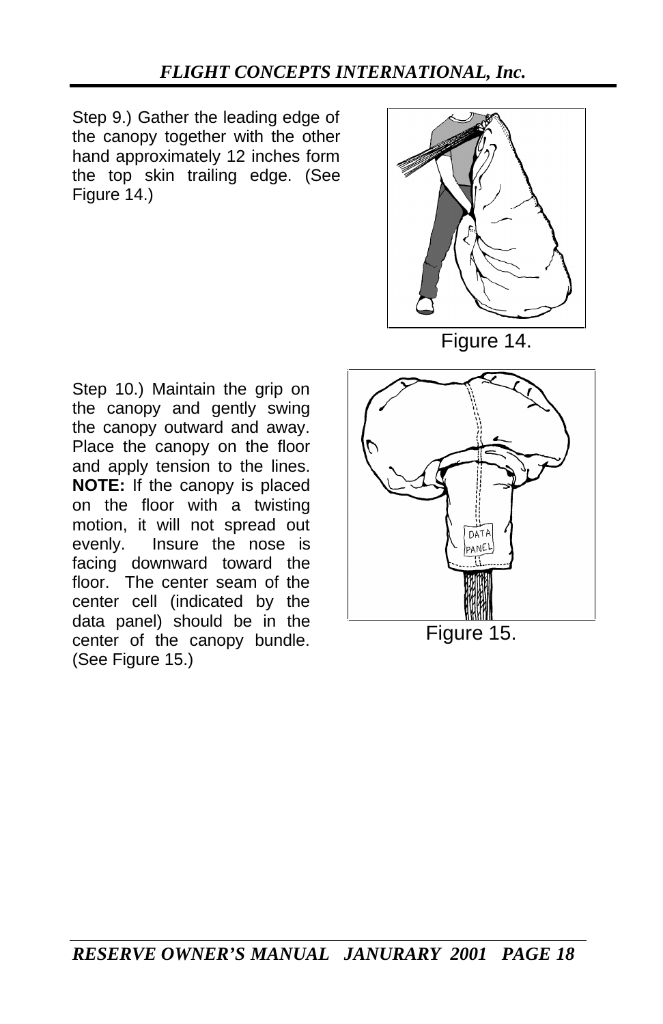Step 9.) Gather the leading edge of the canopy together with the other hand approximately 12 inches form the top skin trailing edge. (See Figure 14.)



Figure 14.

Step 10.) Maintain the grip on the canopy and gently swing the canopy outward and away. Place the canopy on the floor and apply tension to the lines. **NOTE:** If the canopy is placed on the floor with a twisting motion, it will not spread out evenly. Insure the nose is facing downward toward the floor. The center seam of the center cell (indicated by the data panel) should be in the center of the canopy bundle. (See Figure 15.)

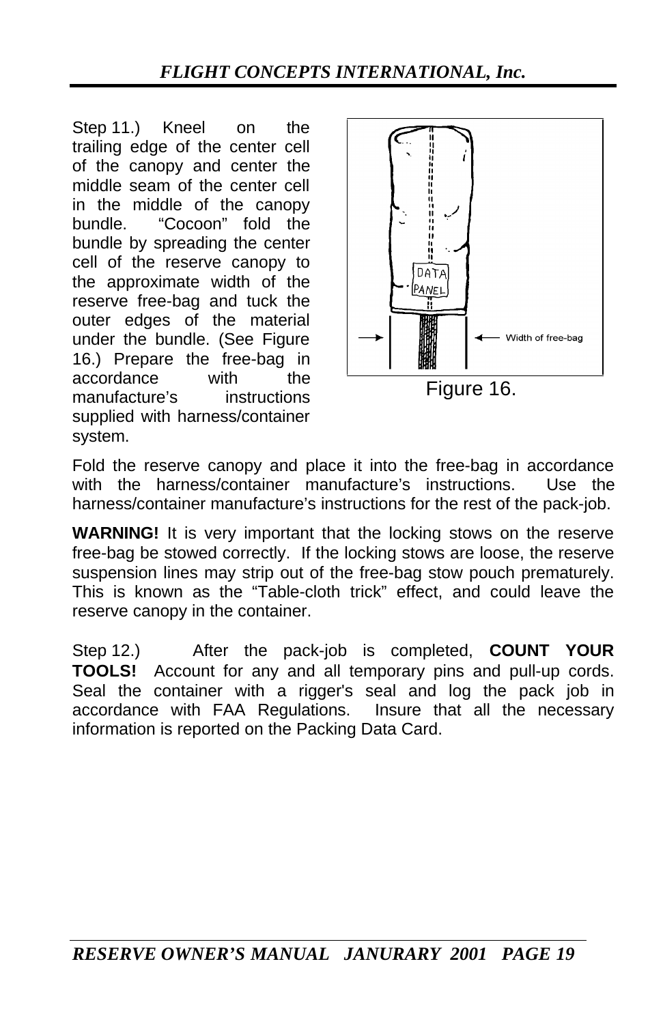Step 11.) Kneel on the trailing edge of the center cell of the canopy and center the middle seam of the center cell in the middle of the canopy bundle. "Cocoon" fold the bundle by spreading the center cell of the reserve canopy to the approximate width of the reserve free-bag and tuck the outer edges of the material under the bundle. (See Figure 16.) Prepare the free-bag in accordance with the manufacture's instructions supplied with harness/container system.



Fold the reserve canopy and place it into the free-bag in accordance with the harness/container manufacture's instructions. Use the harness/container manufacture's instructions for the rest of the pack-job.

**WARNING!** It is very important that the locking stows on the reserve free-bag be stowed correctly. If the locking stows are loose, the reserve suspension lines may strip out of the free-bag stow pouch prematurely. This is known as the "Table-cloth trick" effect, and could leave the reserve canopy in the container.

Step 12.) After the pack-job is completed, **COUNT YOUR TOOLS!** Account for any and all temporary pins and pull-up cords. Seal the container with a rigger's seal and log the pack job in accordance with FAA Regulations. Insure that all the necessary information is reported on the Packing Data Card.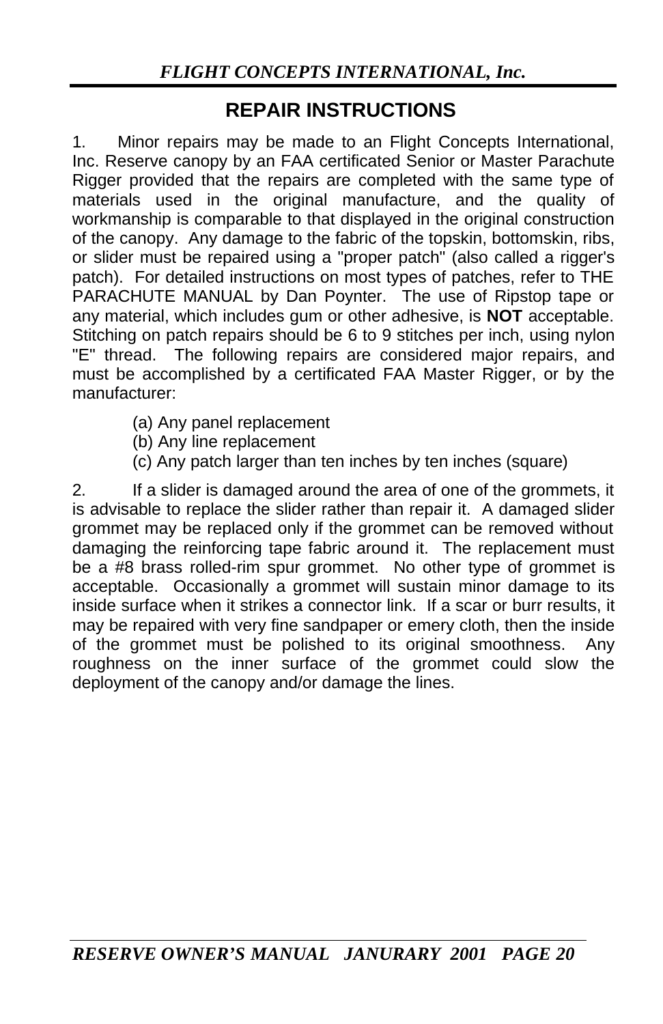## **REPAIR INSTRUCTIONS**

1. Minor repairs may be made to an Flight Concepts International, Inc. Reserve canopy by an FAA certificated Senior or Master Parachute Rigger provided that the repairs are completed with the same type of materials used in the original manufacture, and the quality of workmanship is comparable to that displayed in the original construction of the canopy. Any damage to the fabric of the topskin, bottomskin, ribs, or slider must be repaired using a "proper patch" (also called a rigger's patch). For detailed instructions on most types of patches, refer to THE PARACHUTE MANUAL by Dan Poynter. The use of Ripstop tape or any material, which includes gum or other adhesive, is **NOT** acceptable. Stitching on patch repairs should be 6 to 9 stitches per inch, using nylon "E" thread. The following repairs are considered major repairs, and must be accomplished by a certificated FAA Master Rigger, or by the manufacturer:

- (a) Any panel replacement
- (b) Any line replacement
- (c) Any patch larger than ten inches by ten inches (square)

2. If a slider is damaged around the area of one of the grommets, it is advisable to replace the slider rather than repair it. A damaged slider grommet may be replaced only if the grommet can be removed without damaging the reinforcing tape fabric around it. The replacement must be a #8 brass rolled-rim spur grommet. No other type of grommet is acceptable. Occasionally a grommet will sustain minor damage to its inside surface when it strikes a connector link. If a scar or burr results, it may be repaired with very fine sandpaper or emery cloth, then the inside of the grommet must be polished to its original smoothness. Any roughness on the inner surface of the grommet could slow the deployment of the canopy and/or damage the lines.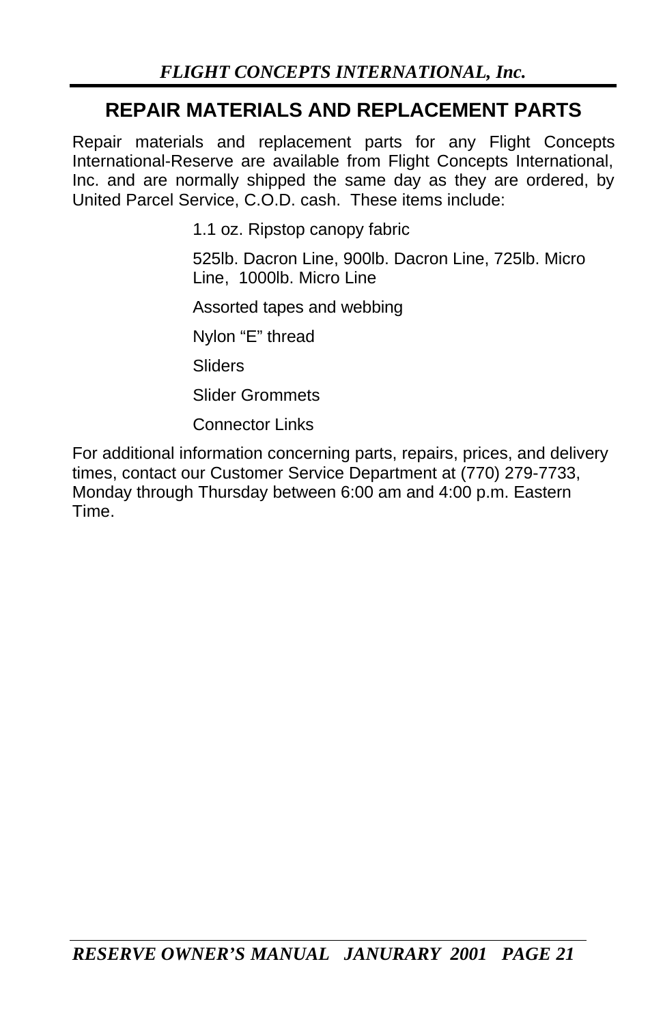## **REPAIR MATERIALS AND REPLACEMENT PARTS**

Repair materials and replacement parts for any Flight Concepts International-Reserve are available from Flight Concepts International, Inc. and are normally shipped the same day as they are ordered, by United Parcel Service, C.O.D. cash. These items include:

1.1 oz. Ripstop canopy fabric

525lb. Dacron Line, 900lb. Dacron Line, 725lb. Micro Line, 1000lb. Micro Line

Assorted tapes and webbing

Nylon "E" thread

**Sliders** 

Slider Grommets

Connector Links

For additional information concerning parts, repairs, prices, and delivery times, contact our Customer Service Department at (770) 279-7733, Monday through Thursday between 6:00 am and 4:00 p.m. Eastern Time.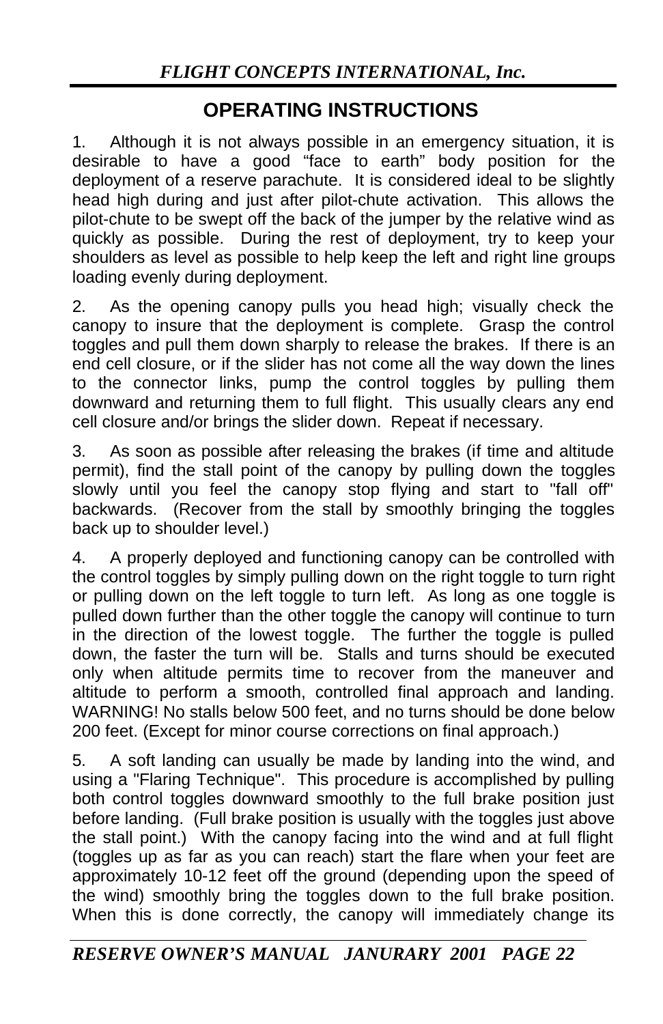## **OPERATING INSTRUCTIONS**

1. Although it is not always possible in an emergency situation, it is desirable to have a good "face to earth" body position for the deployment of a reserve parachute. It is considered ideal to be slightly head high during and just after pilot-chute activation. This allows the pilot-chute to be swept off the back of the jumper by the relative wind as quickly as possible. During the rest of deployment, try to keep your shoulders as level as possible to help keep the left and right line groups loading evenly during deployment.

2. As the opening canopy pulls you head high; visually check the canopy to insure that the deployment is complete. Grasp the control toggles and pull them down sharply to release the brakes. If there is an end cell closure, or if the slider has not come all the way down the lines to the connector links, pump the control toggles by pulling them downward and returning them to full flight. This usually clears any end cell closure and/or brings the slider down. Repeat if necessary.

3. As soon as possible after releasing the brakes (if time and altitude permit), find the stall point of the canopy by pulling down the toggles slowly until you feel the canopy stop flying and start to "fall off" backwards. (Recover from the stall by smoothly bringing the toggles back up to shoulder level.)

4. A properly deployed and functioning canopy can be controlled with the control toggles by simply pulling down on the right toggle to turn right or pulling down on the left toggle to turn left. As long as one toggle is pulled down further than the other toggle the canopy will continue to turn in the direction of the lowest toggle. The further the toggle is pulled down, the faster the turn will be. Stalls and turns should be executed only when altitude permits time to recover from the maneuver and altitude to perform a smooth, controlled final approach and landing. WARNING! No stalls below 500 feet, and no turns should be done below 200 feet. (Except for minor course corrections on final approach.)

5. A soft landing can usually be made by landing into the wind, and using a "Flaring Technique". This procedure is accomplished by pulling both control toggles downward smoothly to the full brake position just before landing. (Full brake position is usually with the toggles just above the stall point.) With the canopy facing into the wind and at full flight (toggles up as far as you can reach) start the flare when your feet are approximately 10-12 feet off the ground (depending upon the speed of the wind) smoothly bring the toggles down to the full brake position. When this is done correctly, the canopy will immediately change its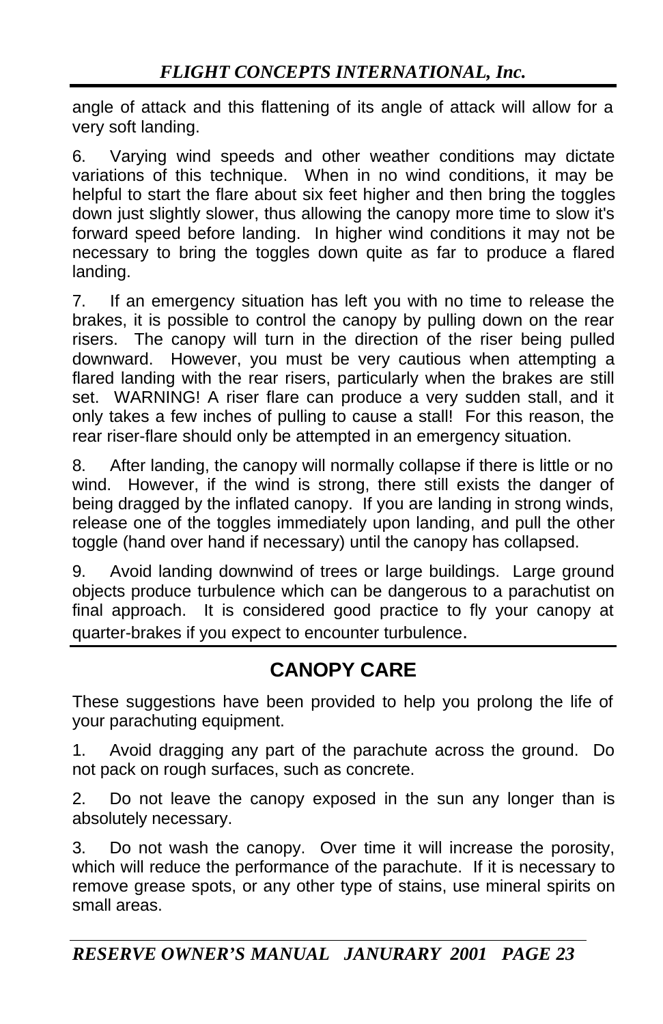angle of attack and this flattening of its angle of attack will allow for a very soft landing.

6. Varying wind speeds and other weather conditions may dictate variations of this technique. When in no wind conditions, it may be helpful to start the flare about six feet higher and then bring the toggles down just slightly slower, thus allowing the canopy more time to slow it's forward speed before landing. In higher wind conditions it may not be necessary to bring the toggles down quite as far to produce a flared landing.

7. If an emergency situation has left you with no time to release the brakes, it is possible to control the canopy by pulling down on the rear risers. The canopy will turn in the direction of the riser being pulled downward. However, you must be very cautious when attempting a flared landing with the rear risers, particularly when the brakes are still set. WARNING! A riser flare can produce a very sudden stall, and it only takes a few inches of pulling to cause a stall! For this reason, the rear riser-flare should only be attempted in an emergency situation.

8. After landing, the canopy will normally collapse if there is little or no wind. However, if the wind is strong, there still exists the danger of being dragged by the inflated canopy. If you are landing in strong winds, release one of the toggles immediately upon landing, and pull the other toggle (hand over hand if necessary) until the canopy has collapsed.

9. Avoid landing downwind of trees or large buildings. Large ground objects produce turbulence which can be dangerous to a parachutist on final approach. It is considered good practice to fly your canopy at quarter-brakes if you expect to encounter turbulence.

## **CANOPY CARE**

These suggestions have been provided to help you prolong the life of your parachuting equipment.

1. Avoid dragging any part of the parachute across the ground. Do not pack on rough surfaces, such as concrete.

2. Do not leave the canopy exposed in the sun any longer than is absolutely necessary.

3. Do not wash the canopy. Over time it will increase the porosity, which will reduce the performance of the parachute. If it is necessary to remove grease spots, or any other type of stains, use mineral spirits on small areas.